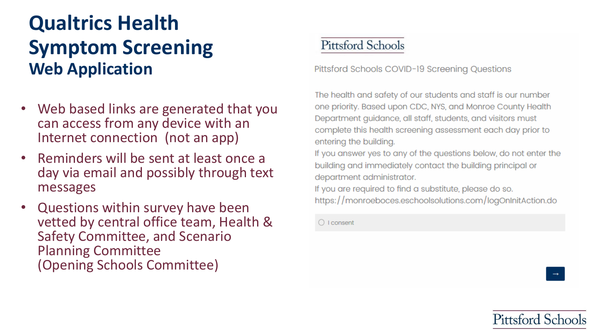- Web based links are generated that you can access from any device with an Internet connection (not an app)
- Reminders will be sent at least once a day via email and possibly through text messages
- Questions within survey have been vetted by central office team, Health & Safety Committee, and Scenario Planning Committee (Opening Schools Committee)

#### **Pittsford Schools**

Pittsford Schools COVID-19 Screening Questions

The health and safety of our students and staff is our number one priority. Based upon CDC, NYS, and Monroe County Health Department guidance, all staff, students, and visitors must complete this health screening assessment each day prior to entering the building.

If you answer yes to any of the questions below, do not enter the building and immediately contact the building principal or department administrator.

If you are required to find a substitute, please do so. https://monroeboces.eschoolsolutions.com/logOnInitAction.do

 $\bigcirc$  I consent

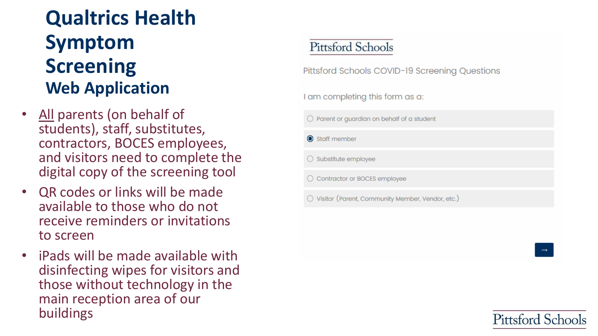- All parents (on behalf of students), staff, substitutes, contractors, BOCES employees, and visitors need to complete the digital copy of the screening tool
- QR codes or links will be made available to those who do not receive reminders or invitations to screen
- iPads will be made available with disinfecting wipes for visitors and those without technology in the main reception area of our buildings

#### **Pittsford Schools**

Pittsford Schools COVID-19 Screening Questions

I am completing this form as a:

 $\bigcirc$  Parent or guardian on behalf of a student

Staff member

 $\bigcirc$  Substitute employee

Contractor or BOCES employee

○ Visitor (Parent, Community Member, Vendor, etc.)

 $\rightarrow$ 

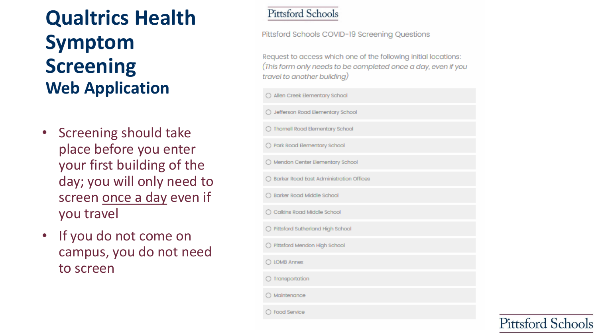- Screening should take place before you enter your first building of the day; you will only need to screen once a day even if you travel
- If you do not come on campus, you do not need to screen

#### **Pittsford Schools**

Pittsford Schools COVID-19 Screening Questions

Request to access which one of the following initial locations: (This form only needs to be completed once a day, even if you travel to another building)

| ○ Allen Creek Elementary School                                                                                                                                                                                                |
|--------------------------------------------------------------------------------------------------------------------------------------------------------------------------------------------------------------------------------|
| ◯ Jefferson Road Elementary School                                                                                                                                                                                             |
| ◯ Thornell Road Elementary School                                                                                                                                                                                              |
| ◯ Park Road Elementary School                                                                                                                                                                                                  |
| ◯ Mendon Center Elementary School                                                                                                                                                                                              |
| ◯ Barker Road East Administration Offices                                                                                                                                                                                      |
| ◯ Barker Road Middle School                                                                                                                                                                                                    |
| ◯ Calkins Road Middle School                                                                                                                                                                                                   |
| O Pittsford Sutherland High School                                                                                                                                                                                             |
| ◯ Pittsford Mendon High School                                                                                                                                                                                                 |
| O LOMB Annex                                                                                                                                                                                                                   |
| ○ Transportation                                                                                                                                                                                                               |
| Maintenance                                                                                                                                                                                                                    |
| Contact Contact Contact Contact Contact Contact Contact Contact Contact Contact Contact Contact Contact Contact Contact Contact Contact Contact Contact Contact Contact Contact Contact Contact Contact Contact Contact Contac |

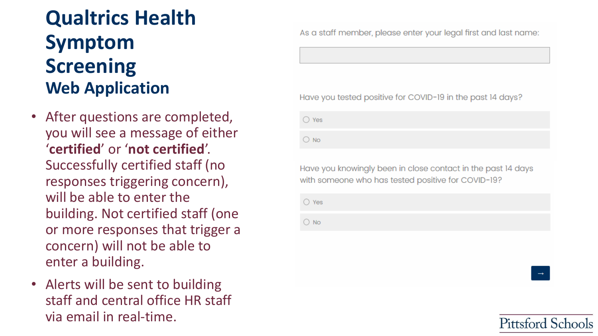- After questions are completed, you will see a message of either '**certified**' or '**not certified**'. Successfully certified staff (no responses triggering concern), will be able to enter the building. Not certified staff (one or more responses that trigger a concern) will not be able to enter a building.
- Alerts will be sent to building staff and central office HR staff via email in real-time.

As a staff member, please enter your legal first and last name:

#### Have you tested positive for COVID-19 in the past 14 days?

 $\bigcirc$  Yes

 $\bigcirc$  No

Have you knowingly been in close contact in the past 14 days with someone who has tested positive for COVID-19?

**Pittsford Schools** 

 $\bigcirc$  Yes

 $\bigcirc$  No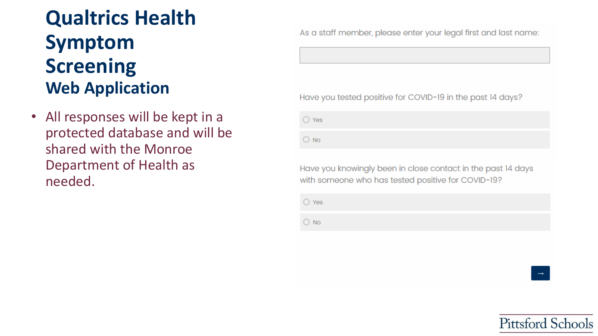All responses will be kept in a protected database and will be shared with the Monroe Department of Health as needed.

As a staff member, please enter your legal first and last name:

Have you tested positive for COVID-19 in the past 14 days?

 $\bigcirc$  Yes

 $\bigcirc$  No

Have you knowingly been in close contact in the past 14 days with someone who has tested positive for COVID-19?

 $\bigcirc$  Yes

 $\bigcirc$  No

**Pittsford Schools**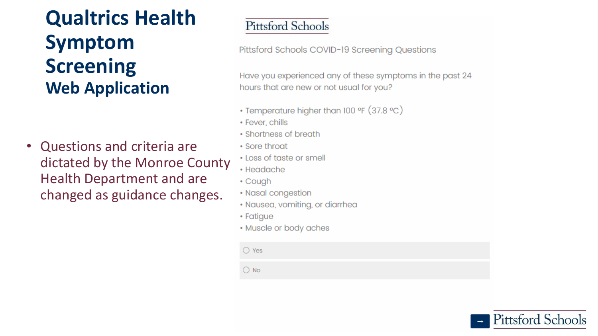• Questions and criteria are dictated by the Monroe County **Health Department and are** changed as guidance changes.

#### **Pittsford Schools**

Pittsford Schools COVID-19 Screening Questions

Have you experienced any of these symptoms in the past 24 hours that are new or not usual for you?

- Temperature higher than 100 °F (37.8 °C)
- Fever, chills
- Shortness of breath
- Sore throat
- Loss of taste or smell
- Headache
- Cough
- Nasal congestion
- · Nausea, vomiting, or diarrhea
- Fatigue
- Muscle or body aches

 $\bigcirc$  Yes

 $\bigcirc$  No

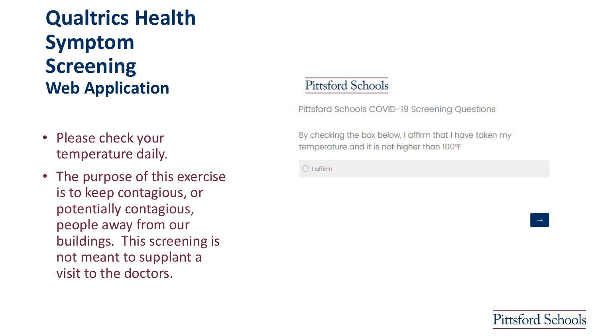- Please check your temperature daily.
- The purpose of this exercise is to keep contagious, or potentially contagious, people away from our buildings. This screening is not meant to supplant a visit to the doctors.

#### **Pittsford Schools**

Pittsford Schools COVID-19 Screening Questions

By checking the box below, I affirm that I have taken my temperature and it is not higher than 100°F

 $\bigcirc$  I affirm